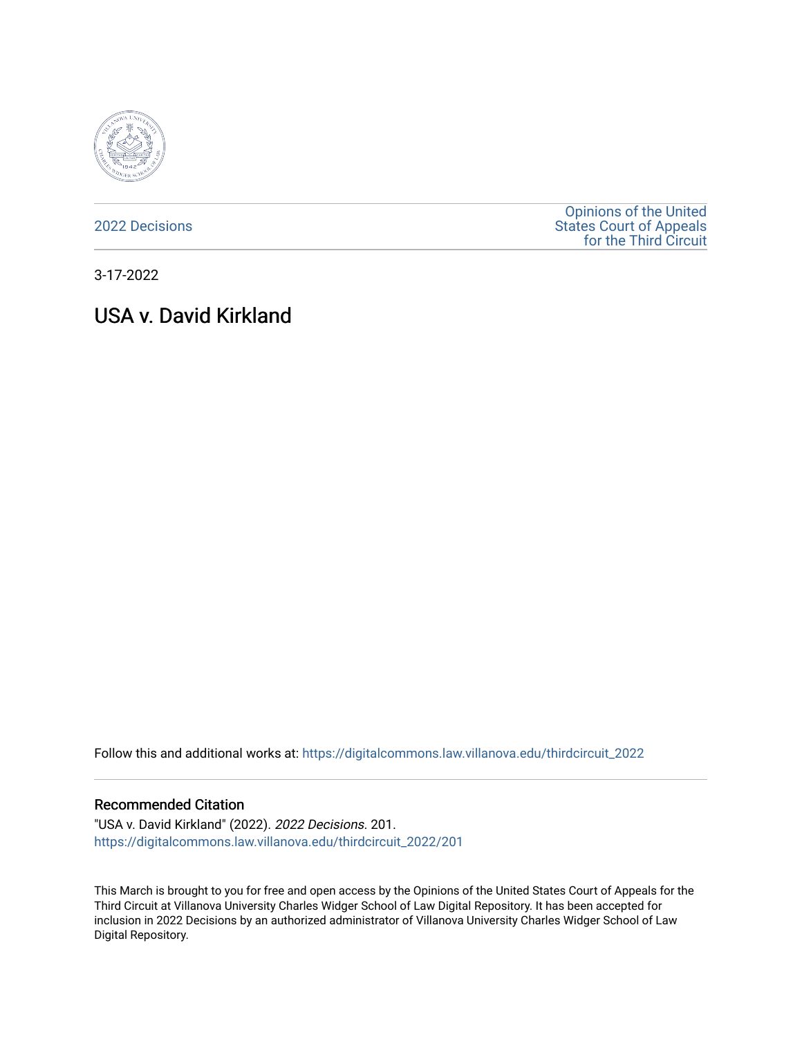

[2022 Decisions](https://digitalcommons.law.villanova.edu/thirdcircuit_2022)

[Opinions of the United](https://digitalcommons.law.villanova.edu/thirdcircuit)  [States Court of Appeals](https://digitalcommons.law.villanova.edu/thirdcircuit)  [for the Third Circuit](https://digitalcommons.law.villanova.edu/thirdcircuit) 

3-17-2022

# USA v. David Kirkland

Follow this and additional works at: [https://digitalcommons.law.villanova.edu/thirdcircuit\\_2022](https://digitalcommons.law.villanova.edu/thirdcircuit_2022?utm_source=digitalcommons.law.villanova.edu%2Fthirdcircuit_2022%2F201&utm_medium=PDF&utm_campaign=PDFCoverPages) 

### Recommended Citation

"USA v. David Kirkland" (2022). 2022 Decisions. 201. [https://digitalcommons.law.villanova.edu/thirdcircuit\\_2022/201](https://digitalcommons.law.villanova.edu/thirdcircuit_2022/201?utm_source=digitalcommons.law.villanova.edu%2Fthirdcircuit_2022%2F201&utm_medium=PDF&utm_campaign=PDFCoverPages)

This March is brought to you for free and open access by the Opinions of the United States Court of Appeals for the Third Circuit at Villanova University Charles Widger School of Law Digital Repository. It has been accepted for inclusion in 2022 Decisions by an authorized administrator of Villanova University Charles Widger School of Law Digital Repository.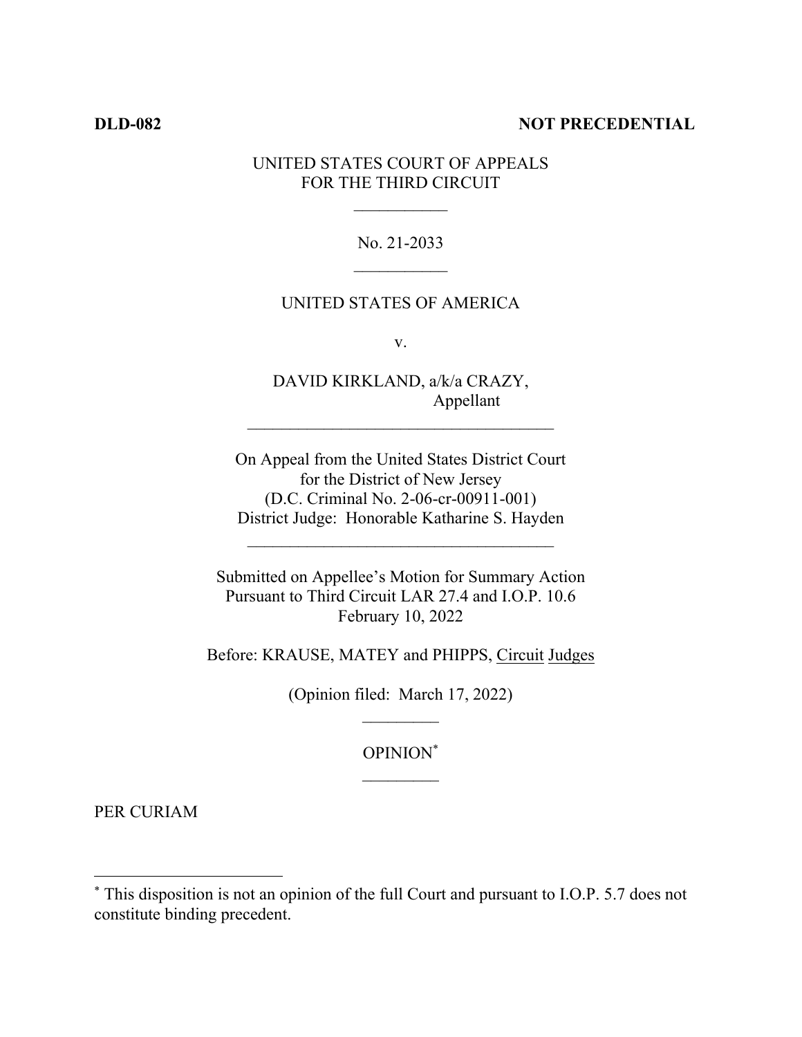### **DLD-082 NOT PRECEDENTIAL**

## UNITED STATES COURT OF APPEALS FOR THE THIRD CIRCUIT

No. 21-2033

### UNITED STATES OF AMERICA

v.

DAVID KIRKLAND, a/k/a CRAZY, Appellant

On Appeal from the United States District Court for the District of New Jersey (D.C. Criminal No. 2-06-cr-00911-001) District Judge: Honorable Katharine S. Hayden

 $\mathcal{L}_\text{max}$ 

Submitted on Appellee's Motion for Summary Action Pursuant to Third Circuit LAR 27.4 and I.O.P. 10.6 February 10, 2022

Before: KRAUSE, MATEY and PHIPPS, Circuit Judges

(Opinion filed: March 17, 2022)

OPINION\*

PER CURIAM

<sup>\*</sup> This disposition is not an opinion of the full Court and pursuant to I.O.P. 5.7 does not constitute binding precedent.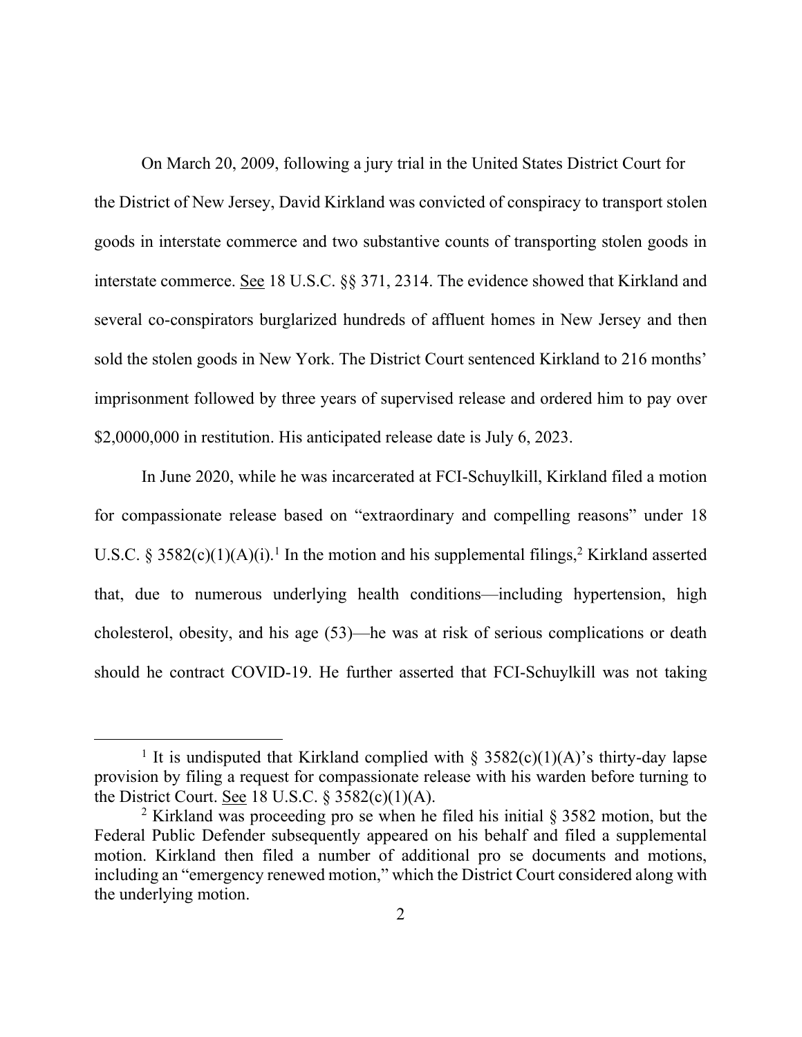On March 20, 2009, following a jury trial in the United States District Court for the District of New Jersey, David Kirkland was convicted of conspiracy to transport stolen goods in interstate commerce and two substantive counts of transporting stolen goods in interstate commerce. See 18 U.S.C. §§ 371, 2314. The evidence showed that Kirkland and several co-conspirators burglarized hundreds of affluent homes in New Jersey and then sold the stolen goods in New York. The District Court sentenced Kirkland to 216 months' imprisonment followed by three years of supervised release and ordered him to pay over \$2,0000,000 in restitution. His anticipated release date is July 6, 2023.

In June 2020, while he was incarcerated at FCI-Schuylkill, Kirkland filed a motion for compassionate release based on "extraordinary and compelling reasons" under 18 U.S.C. § 3582(c)(1)(A)(i).<sup>1</sup> In the motion and his supplemental filings,<sup>2</sup> Kirkland asserted that, due to numerous underlying health conditions—including hypertension, high cholesterol, obesity, and his age (53)—he was at risk of serious complications or death should he contract COVID-19. He further asserted that FCI-Schuylkill was not taking

<sup>&</sup>lt;sup>1</sup> It is undisputed that Kirkland complied with § 3582(c)(1)(A)'s thirty-day lapse provision by filing a request for compassionate release with his warden before turning to the District Court. See 18 U.S.C.  $\S 3582(c)(1)(A)$ .

<sup>&</sup>lt;sup>2</sup> Kirkland was proceeding pro se when he filed his initial  $\S 3582$  motion, but the Federal Public Defender subsequently appeared on his behalf and filed a supplemental motion. Kirkland then filed a number of additional pro se documents and motions, including an "emergency renewed motion," which the District Court considered along with the underlying motion.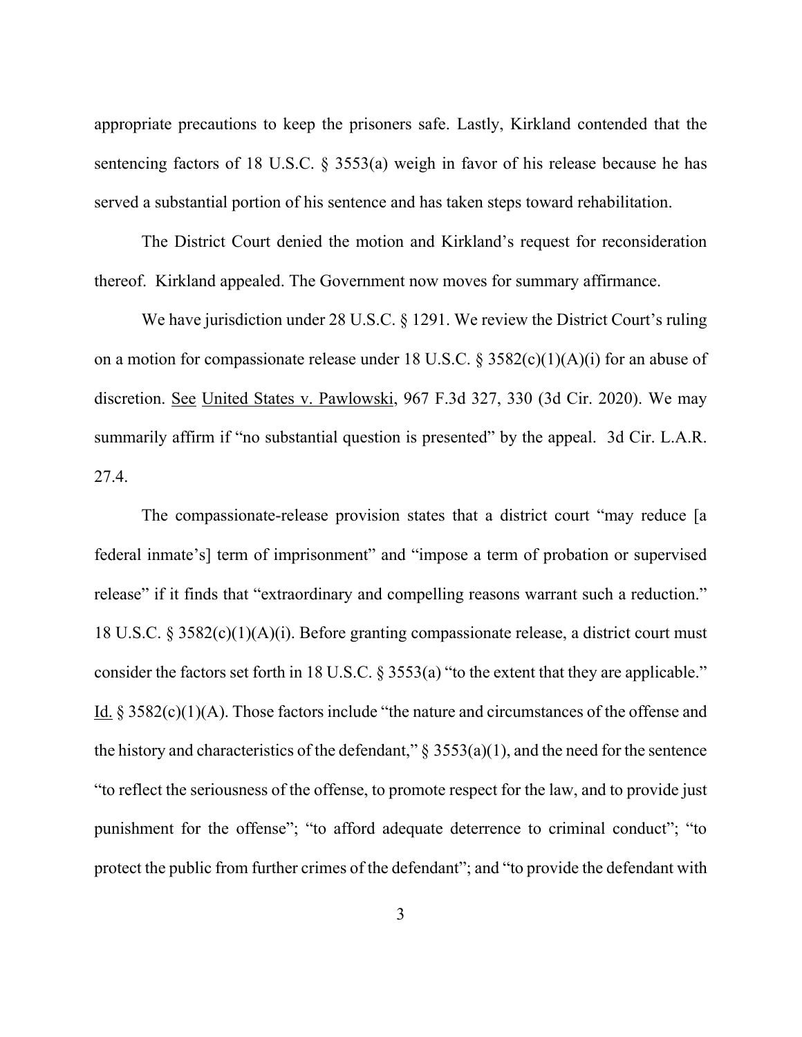appropriate precautions to keep the prisoners safe. Lastly, Kirkland contended that the sentencing factors of 18 U.S.C. § 3553(a) weigh in favor of his release because he has served a substantial portion of his sentence and has taken steps toward rehabilitation.

The District Court denied the motion and Kirkland's request for reconsideration thereof. Kirkland appealed. The Government now moves for summary affirmance.

We have jurisdiction under 28 U.S.C. § 1291. We review the District Court's ruling on a motion for compassionate release under 18 U.S.C. § 3582(c)(1)(A)(i) for an abuse of discretion. See United States v. Pawlowski, 967 F.3d 327, 330 (3d Cir. 2020). We may summarily affirm if "no substantial question is presented" by the appeal. 3d Cir. L.A.R. 27.4.

The compassionate-release provision states that a district court "may reduce [a federal inmate's] term of imprisonment" and "impose a term of probation or supervised release" if it finds that "extraordinary and compelling reasons warrant such a reduction." 18 U.S.C. § 3582(c)(1)(A)(i). Before granting compassionate release, a district court must consider the factors set forth in 18 U.S.C. § 3553(a) "to the extent that they are applicable." Id. § 3582(c)(1)(A). Those factors include "the nature and circumstances of the offense and the history and characteristics of the defendant,"  $\S$  3553(a)(1), and the need for the sentence "to reflect the seriousness of the offense, to promote respect for the law, and to provide just punishment for the offense"; "to afford adequate deterrence to criminal conduct"; "to protect the public from further crimes of the defendant"; and "to provide the defendant with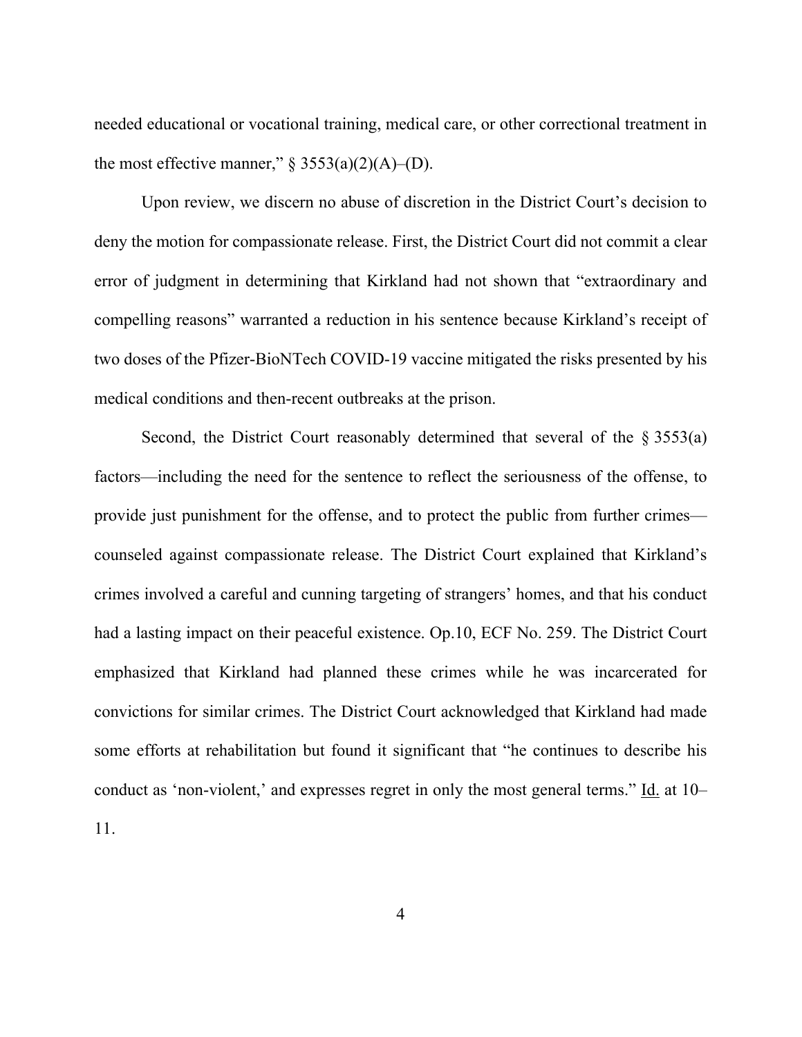needed educational or vocational training, medical care, or other correctional treatment in the most effective manner,"  $\S$  3553(a)(2)(A)–(D).

Upon review, we discern no abuse of discretion in the District Court's decision to deny the motion for compassionate release. First, the District Court did not commit a clear error of judgment in determining that Kirkland had not shown that "extraordinary and compelling reasons" warranted a reduction in his sentence because Kirkland's receipt of two doses of the Pfizer-BioNTech COVID-19 vaccine mitigated the risks presented by his medical conditions and then-recent outbreaks at the prison.

Second, the District Court reasonably determined that several of the  $\S 3553(a)$ factors—including the need for the sentence to reflect the seriousness of the offense, to provide just punishment for the offense, and to protect the public from further crimes counseled against compassionate release. The District Court explained that Kirkland's crimes involved a careful and cunning targeting of strangers' homes, and that his conduct had a lasting impact on their peaceful existence. Op.10, ECF No. 259. The District Court emphasized that Kirkland had planned these crimes while he was incarcerated for convictions for similar crimes. The District Court acknowledged that Kirkland had made some efforts at rehabilitation but found it significant that "he continues to describe his conduct as 'non-violent,' and expresses regret in only the most general terms." Id. at 10– 11.